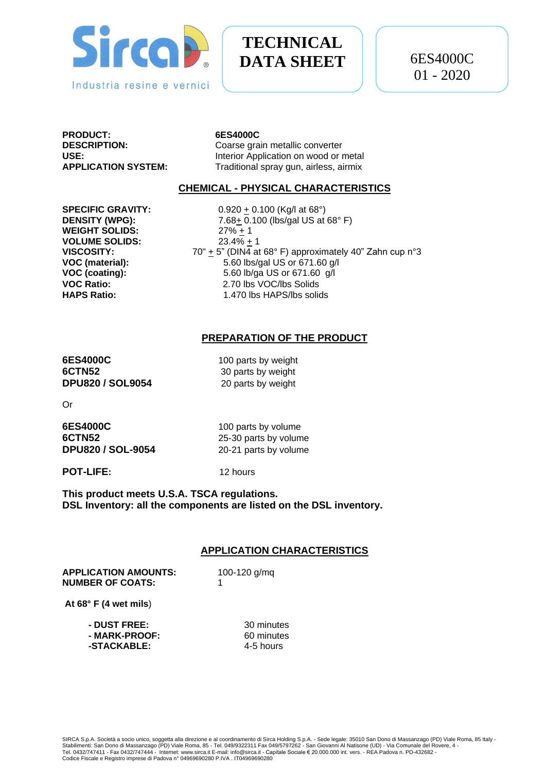

# **TECHNICAL DATA SHEET**

**PRODUCT: 6ES4000C**

Coarse grain metallic converter **USE:** Interior Application on wood or metal **APPLICATION SYSTEM:** Traditional spray gun, airless, airmix

### **CHEMICAL - PHYSICAL CHARACTERISTICS**

**WEIGHT SOLIDS:** 27% + 1 **VOLUME SOLIDS:** 23.4% + 1

**SPECIFIC GRAVITY:** 0.920  $\pm$  0.100 (Kg/l at 68°) **DENSITY (WPG):** 7.68+ 0.100 (lbs/gal US at 68° F) **VISCOSITY:**  $70'' + 5''$  (DIN4 at 68° F) approximately 40" Zahn cup n°3<br>**VOC (material):** 5.60 lbs/gal US or 671.60 g/l **VOC (material):** 5.60 lbs/gal US or 671.60 g/l **VOC (coating):** 5.60 lb/ga US or 671.60 g/l **VOC Ratio:** 2.70 lbs VOC/lbs Solids **HAPS Ratio:** 1.470 lbs HAPS/lbs solids

# **PREPARATION OF THE PRODUCT**

**6ES4000C** 100 parts by weight **6CTN52** 30 parts by weight **DPU820 / SOL9054** 20 parts by weight

Or

| 6ES4000C                 | 100 parts by volume   |
|--------------------------|-----------------------|
| 6CTN52                   | 25-30 parts by volume |
| <b>DPU820 / SOL-9054</b> | 20-21 parts by volume |

**POT-LIFE:** 12 hours

**This product meets U.S.A. TSCA regulations. DSL Inventory: all the components are listed on the DSL inventory.**

## **APPLICATION CHARACTERISTICS**

**APPLICATION AMOUNTS:** 100-120 g/mq **NUMBER OF COATS:** 1

**At 68° F (4 wet mils**)

| 30 minutes |
|------------|
| 60 minutes |
| 4-5 hours  |
|            |